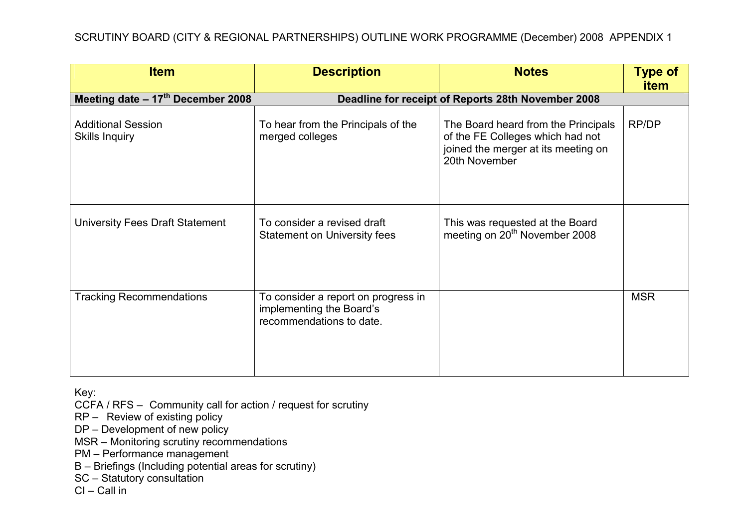| <b>Item</b>                                        | <b>Description</b>                                                                          | <b>Notes</b>                                                                                                                    | <b>Type of</b><br><b>item</b> |
|----------------------------------------------------|---------------------------------------------------------------------------------------------|---------------------------------------------------------------------------------------------------------------------------------|-------------------------------|
| Meeting date $-17^{\text{th}}$ December 2008       | Deadline for receipt of Reports 28th November 2008                                          |                                                                                                                                 |                               |
| <b>Additional Session</b><br><b>Skills Inquiry</b> | To hear from the Principals of the<br>merged colleges                                       | The Board heard from the Principals<br>of the FE Colleges which had not<br>joined the merger at its meeting on<br>20th November | RP/DP                         |
| University Fees Draft Statement                    | To consider a revised draft<br><b>Statement on University fees</b>                          | This was requested at the Board<br>meeting on 20 <sup>th</sup> November 2008                                                    |                               |
| <b>Tracking Recommendations</b>                    | To consider a report on progress in<br>implementing the Board's<br>recommendations to date. |                                                                                                                                 | <b>MSR</b>                    |

CCFA / RFS – Community call for action / request for scrutiny

RP – Review of existing policy

DP – Development of new policy

MSR – Monitoring scrutiny recommendations

PM – Performance management

B – Briefings (Including potential areas for scrutiny)

SC – Statutory consultation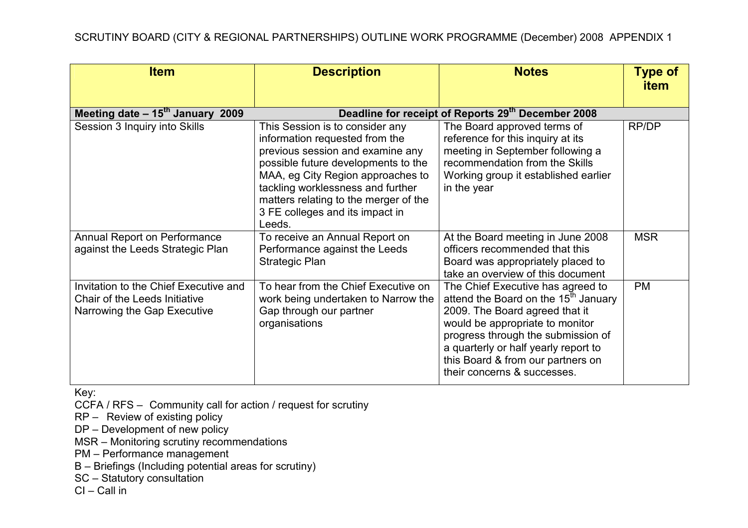| <b>Item</b>                                                                                           | <b>Description</b>                                                                                                                                                                                                                                                                                           | <b>Notes</b>                                                                                                                                                                                                                                                                                                 | <b>Type of</b><br><b>item</b> |
|-------------------------------------------------------------------------------------------------------|--------------------------------------------------------------------------------------------------------------------------------------------------------------------------------------------------------------------------------------------------------------------------------------------------------------|--------------------------------------------------------------------------------------------------------------------------------------------------------------------------------------------------------------------------------------------------------------------------------------------------------------|-------------------------------|
| Meeting date $-15^{th}$ January 2009                                                                  |                                                                                                                                                                                                                                                                                                              | Deadline for receipt of Reports 29th December 2008                                                                                                                                                                                                                                                           |                               |
| Session 3 Inquiry into Skills                                                                         | This Session is to consider any<br>information requested from the<br>previous session and examine any<br>possible future developments to the<br>MAA, eg City Region approaches to<br>tackling worklessness and further<br>matters relating to the merger of the<br>3 FE colleges and its impact in<br>Leeds. | The Board approved terms of<br>reference for this inquiry at its<br>meeting in September following a<br>recommendation from the Skills<br>Working group it established earlier<br>in the year                                                                                                                | RP/DP                         |
| Annual Report on Performance<br>against the Leeds Strategic Plan                                      | To receive an Annual Report on<br>Performance against the Leeds<br><b>Strategic Plan</b>                                                                                                                                                                                                                     | At the Board meeting in June 2008<br>officers recommended that this<br>Board was appropriately placed to<br>take an overview of this document                                                                                                                                                                | <b>MSR</b>                    |
| Invitation to the Chief Executive and<br>Chair of the Leeds Initiative<br>Narrowing the Gap Executive | To hear from the Chief Executive on<br>work being undertaken to Narrow the<br>Gap through our partner<br>organisations                                                                                                                                                                                       | The Chief Executive has agreed to<br>attend the Board on the 15 <sup>th</sup> January<br>2009. The Board agreed that it<br>would be appropriate to monitor<br>progress through the submission of<br>a quarterly or half yearly report to<br>this Board & from our partners on<br>their concerns & successes. | <b>PM</b>                     |

CCFA / RFS – Community call for action / request for scrutiny

RP – Review of existing policy

DP – Development of new policy

MSR – Monitoring scrutiny recommendations

PM – Performance management

B – Briefings (Including potential areas for scrutiny)

SC – Statutory consultation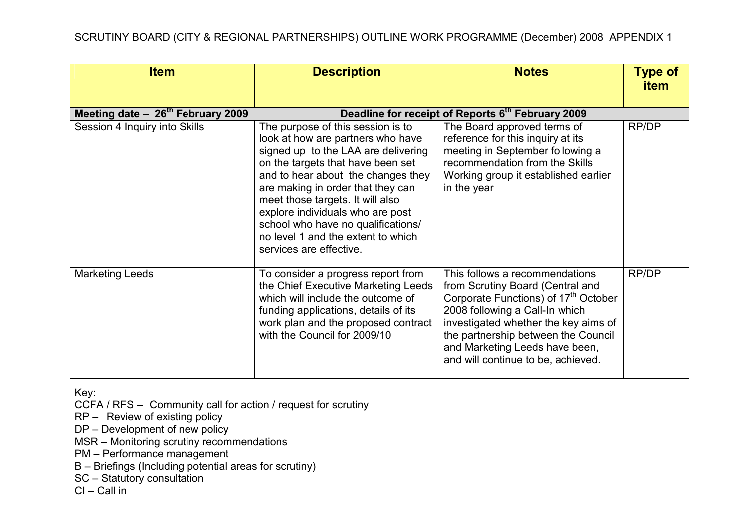| <b>Item</b>                        | <b>Description</b>                                                                                                                                                                                                                                                                                                                                                                                           | <b>Notes</b>                                                                                                                                                                                                                                                                                                    | <b>Type of</b><br><b>item</b> |
|------------------------------------|--------------------------------------------------------------------------------------------------------------------------------------------------------------------------------------------------------------------------------------------------------------------------------------------------------------------------------------------------------------------------------------------------------------|-----------------------------------------------------------------------------------------------------------------------------------------------------------------------------------------------------------------------------------------------------------------------------------------------------------------|-------------------------------|
| Meeting date $-26th$ February 2009 |                                                                                                                                                                                                                                                                                                                                                                                                              | Deadline for receipt of Reports 6th February 2009                                                                                                                                                                                                                                                               |                               |
| Session 4 Inquiry into Skills      | The purpose of this session is to<br>look at how are partners who have<br>signed up to the LAA are delivering<br>on the targets that have been set<br>and to hear about the changes they<br>are making in order that they can<br>meet those targets. It will also<br>explore individuals who are post<br>school who have no qualifications/<br>no level 1 and the extent to which<br>services are effective. | The Board approved terms of<br>reference for this inquiry at its<br>meeting in September following a<br>recommendation from the Skills<br>Working group it established earlier<br>in the year                                                                                                                   | RP/DP                         |
| <b>Marketing Leeds</b>             | To consider a progress report from<br>the Chief Executive Marketing Leeds<br>which will include the outcome of<br>funding applications, details of its<br>work plan and the proposed contract<br>with the Council for 2009/10                                                                                                                                                                                | This follows a recommendations<br>from Scrutiny Board (Central and<br>Corporate Functions) of 17 <sup>th</sup> October<br>2008 following a Call-In which<br>investigated whether the key aims of<br>the partnership between the Council<br>and Marketing Leeds have been,<br>and will continue to be, achieved. | RP/DP                         |

CCFA / RFS – Community call for action / request for scrutiny

RP – Review of existing policy

DP – Development of new policy

MSR – Monitoring scrutiny recommendations

PM – Performance management

B – Briefings (Including potential areas for scrutiny)

SC – Statutory consultation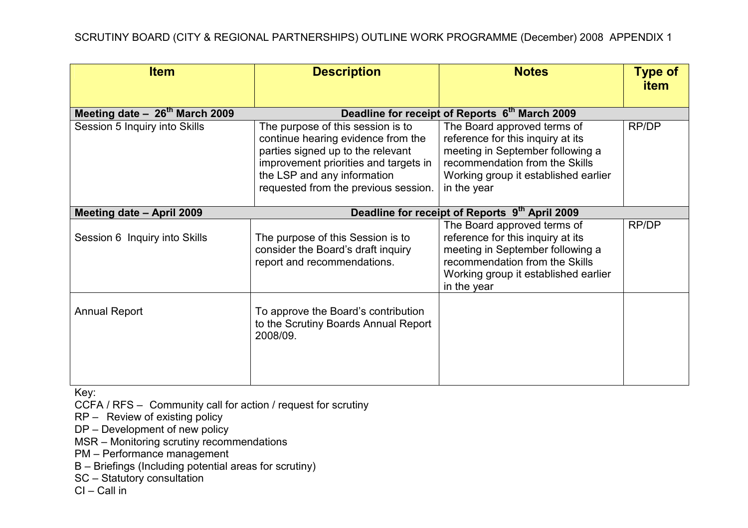| <b>Item</b>                        | <b>Description</b>                                                                                                                                                                                                           | <b>Notes</b>                                                                                                                                                                                  | <b>Type of</b><br><b>item</b> |
|------------------------------------|------------------------------------------------------------------------------------------------------------------------------------------------------------------------------------------------------------------------------|-----------------------------------------------------------------------------------------------------------------------------------------------------------------------------------------------|-------------------------------|
| Meeting date $-26^{th}$ March 2009 |                                                                                                                                                                                                                              | Deadline for receipt of Reports 6 <sup>th</sup> March 2009                                                                                                                                    |                               |
| Session 5 Inquiry into Skills      | The purpose of this session is to<br>continue hearing evidence from the<br>parties signed up to the relevant<br>improvement priorities and targets in<br>the LSP and any information<br>requested from the previous session. | The Board approved terms of<br>reference for this inquiry at its<br>meeting in September following a<br>recommendation from the Skills<br>Working group it established earlier<br>in the year | RP/DP                         |
| Meeting date - April 2009          | Deadline for receipt of Reports 9th April 2009                                                                                                                                                                               |                                                                                                                                                                                               |                               |
| Session 6 Inquiry into Skills      | The purpose of this Session is to<br>consider the Board's draft inquiry<br>report and recommendations.                                                                                                                       | The Board approved terms of<br>reference for this inquiry at its<br>meeting in September following a<br>recommendation from the Skills<br>Working group it established earlier<br>in the year | RP/DP                         |
| <b>Annual Report</b>               | To approve the Board's contribution<br>to the Scrutiny Boards Annual Report<br>2008/09.                                                                                                                                      |                                                                                                                                                                                               |                               |

CCFA / RFS – Community call for action / request for scrutiny

RP – Review of existing policy

DP – Development of new policy

MSR – Monitoring scrutiny recommendations

PM – Performance management

B – Briefings (Including potential areas for scrutiny)

SC – Statutory consultation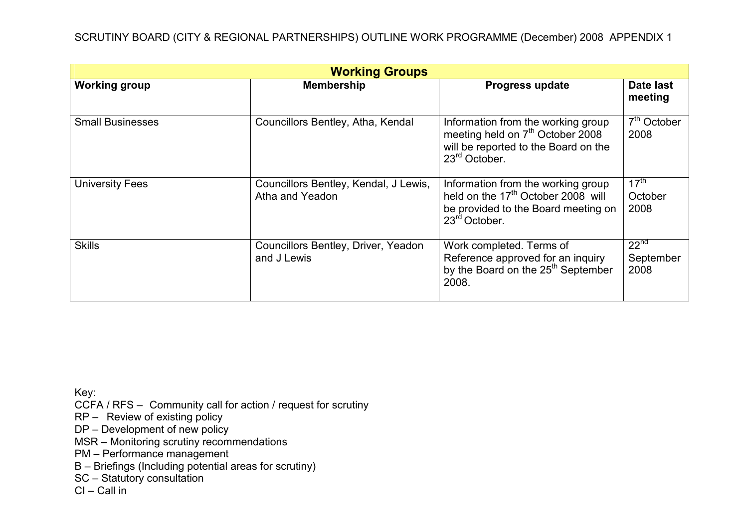| <b>Working Groups</b>   |                                                          |                                                                                                                                                          |                                       |
|-------------------------|----------------------------------------------------------|----------------------------------------------------------------------------------------------------------------------------------------------------------|---------------------------------------|
| <b>Working group</b>    | <b>Membership</b>                                        | <b>Progress update</b>                                                                                                                                   | Date last<br>meeting                  |
| <b>Small Businesses</b> | Councillors Bentley, Atha, Kendal                        | Information from the working group<br>meeting held on 7 <sup>th</sup> October 2008<br>will be reported to the Board on the<br>$23rd$ October.            | $7th$ October<br>2008                 |
| <b>University Fees</b>  | Councillors Bentley, Kendal, J Lewis,<br>Atha and Yeadon | Information from the working group<br>held on the 17 <sup>th</sup> October 2008 will<br>be provided to the Board meeting on<br>23 <sup>rd</sup> October. | $17^{\text{th}}$<br>October<br>2008   |
| <b>Skills</b>           | Councillors Bentley, Driver, Yeadon<br>and J Lewis       | Work completed. Terms of<br>Reference approved for an inquiry<br>by the Board on the 25 <sup>th</sup> September<br>2008.                                 | 22 <sup>nd</sup><br>September<br>2008 |

CCFA / RFS – Community call for action / request for scrutiny

RP – Review of existing policy

DP – Development of new policy

MSR – Monitoring scrutiny recommendations

PM – Performance management

B – Briefings (Including potential areas for scrutiny)

SC – Statutory consultation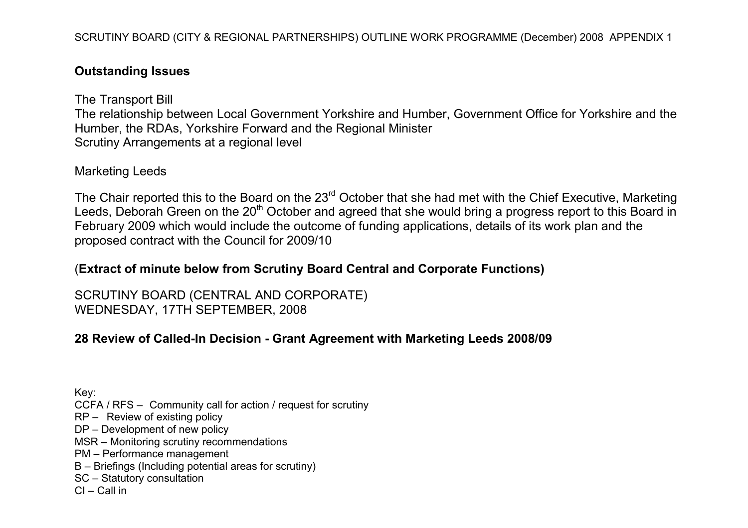### Outstanding Issues

The Transport Bill The relationship between Local Government Yorkshire and Humber, Government Office for Yorkshire and the Humber, the RDAs, Yorkshire Forward and the Regional Minister Scrutiny Arrangements at a regional level

#### Marketing Leeds

The Chair reported this to the Board on the 23<sup>rd</sup> October that she had met with the Chief Executive, Marketing Leeds, Deborah Green on the 20<sup>th</sup> October and agreed that she would bring a progress report to this Board in February 2009 which would include the outcome of funding applications, details of its work plan and the proposed contract with the Council for 2009/10

# (Extract of minute below from Scrutiny Board Central and Corporate Functions)

SCRUTINY BOARD (CENTRAL AND CORPORATE) WEDNESDAY, 17TH SEPTEMBER, 2008

# 28 Review of Called-In Decision - Grant Agreement with Marketing Leeds 2008/09

Key: CCFA / RFS – Community call for action / request for scrutiny RP – Review of existing policy DP – Development of new policy MSR – Monitoring scrutiny recommendations PM – Performance management B – Briefings (Including potential areas for scrutiny) SC – Statutory consultation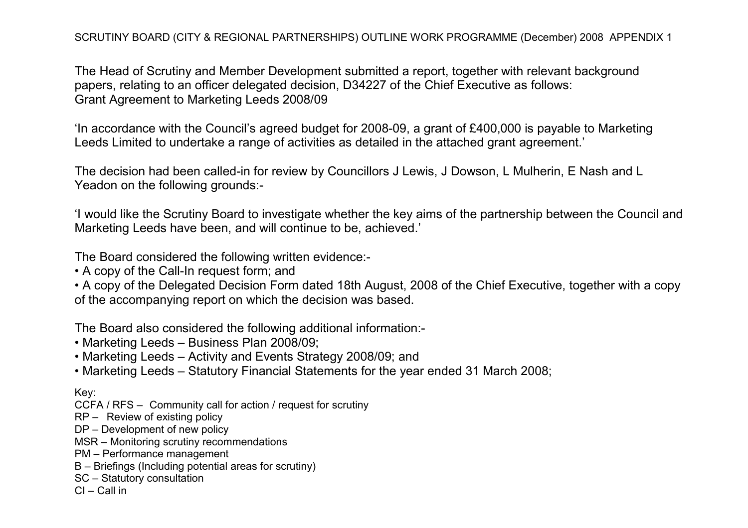The Head of Scrutiny and Member Development submitted a report, together with relevant background papers, relating to an officer delegated decision, D34227 of the Chief Executive as follows: Grant Agreement to Marketing Leeds 2008/09

'In accordance with the Council's agreed budget for 2008-09, a grant of £400,000 is payable to Marketing Leeds Limited to undertake a range of activities as detailed in the attached grant agreement.'

The decision had been called-in for review by Councillors J Lewis, J Dowson, L Mulherin, E Nash and L Yeadon on the following grounds:-

'I would like the Scrutiny Board to investigate whether the key aims of the partnership between the Council and Marketing Leeds have been, and will continue to be, achieved.'

The Board considered the following written evidence:-

• A copy of the Call-In request form; and

• A copy of the Delegated Decision Form dated 18th August, 2008 of the Chief Executive, together with a copy of the accompanying report on which the decision was based.

The Board also considered the following additional information:-

- Marketing Leeds Business Plan 2008/09;
- Marketing Leeds Activity and Events Strategy 2008/09; and
- Marketing Leeds Statutory Financial Statements for the year ended 31 March 2008;

Key:

- CCFA / RFS Community call for action / request for scrutiny
- RP Review of existing policy
- DP Development of new policy
- MSR Monitoring scrutiny recommendations
- PM Performance management
- B Briefings (Including potential areas for scrutiny)
- SC Statutory consultation
- CI Call in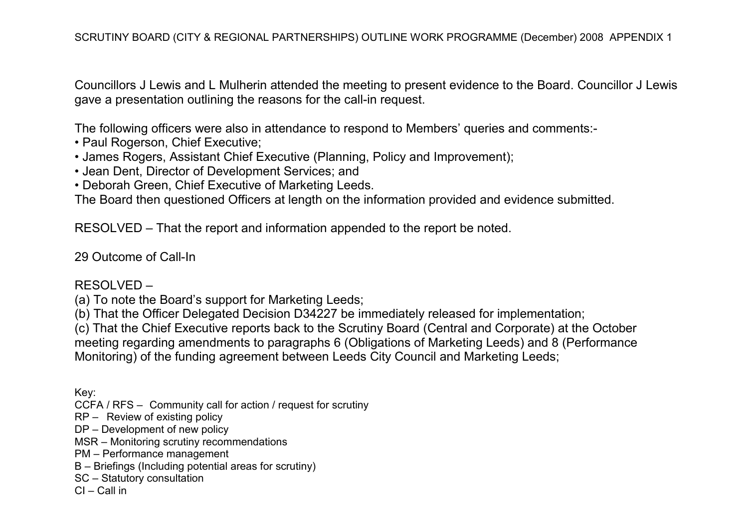Councillors J Lewis and L Mulherin attended the meeting to present evidence to the Board. Councillor J Lewis gave a presentation outlining the reasons for the call-in request.

The following officers were also in attendance to respond to Members' queries and comments:-

- Paul Rogerson, Chief Executive;
- James Rogers, Assistant Chief Executive (Planning, Policy and Improvement);
- Jean Dent, Director of Development Services; and
- Deborah Green, Chief Executive of Marketing Leeds.

The Board then questioned Officers at length on the information provided and evidence submitted.

RESOLVED – That the report and information appended to the report be noted.

29 Outcome of Call-In

#### RESOLVED –

(a) To note the Board's support for Marketing Leeds;

(b) That the Officer Delegated Decision D34227 be immediately released for implementation;

(c) That the Chief Executive reports back to the Scrutiny Board (Central and Corporate) at the October meeting regarding amendments to paragraphs 6 (Obligations of Marketing Leeds) and 8 (Performance Monitoring) of the funding agreement between Leeds City Council and Marketing Leeds;

Key:

- CCFA / RFS Community call for action / request for scrutiny
- RP Review of existing policy
- DP Development of new policy
- MSR Monitoring scrutiny recommendations
- PM Performance management
- B Briefings (Including potential areas for scrutiny)
- SC Statutory consultation
- CI Call in